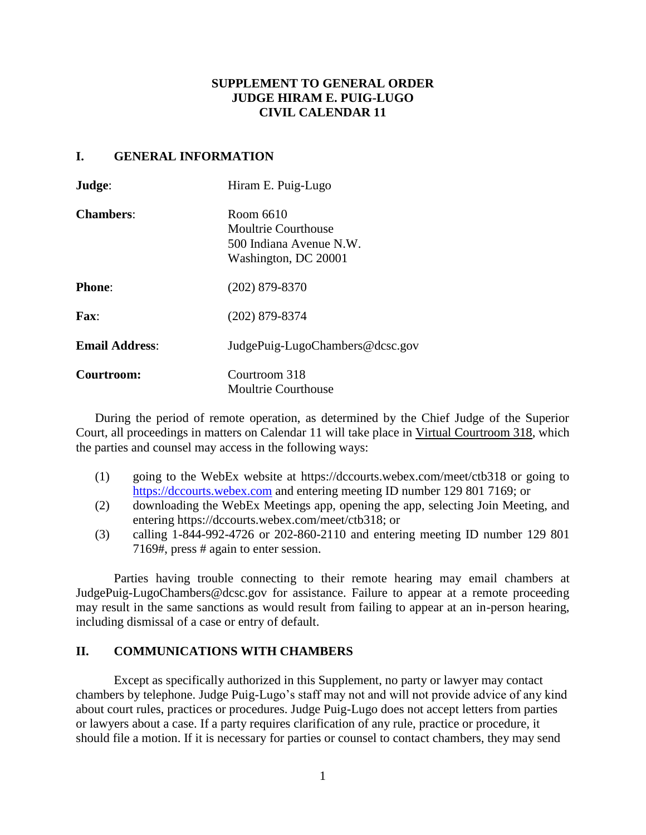# **SUPPLEMENT TO GENERAL ORDER JUDGE HIRAM E. PUIG-LUGO CIVIL CALENDAR 11**

### **I. GENERAL INFORMATION**

| Judge:                | Hiram E. Puig-Lugo                                                                  |
|-----------------------|-------------------------------------------------------------------------------------|
| <b>Chambers:</b>      | Room 6610<br>Moultrie Courthouse<br>500 Indiana Avenue N.W.<br>Washington, DC 20001 |
| <b>Phone:</b>         | $(202)$ 879-8370                                                                    |
| $\mathbf{Fax}$        | $(202)$ 879-8374                                                                    |
| <b>Email Address:</b> | JudgePuig-LugoChambers@dcsc.gov                                                     |
| Courtroom:            | Courtroom 318<br><b>Moultrie Courthouse</b>                                         |

During the period of remote operation, as determined by the Chief Judge of the Superior Court, all proceedings in matters on Calendar 11 will take place in Virtual Courtroom 318, which the parties and counsel may access in the following ways:

- (1) going to the WebEx website at https://dccourts.webex.com/meet/ctb318 or going to [https://dccourts.webex.com](https://dccourts.webex.com/) and entering meeting ID number 129 801 7169; or
- (2) downloading the WebEx Meetings app, opening the app, selecting Join Meeting, and entering https://dccourts.webex.com/meet/ctb318; or
- (3) calling 1-844-992-4726 or 202-860-2110 and entering meeting ID number 129 801 7169#, press # again to enter session.

Parties having trouble connecting to their remote hearing may email chambers at JudgePuig-LugoChambers@dcsc.gov for assistance. Failure to appear at a remote proceeding may result in the same sanctions as would result from failing to appear at an in-person hearing, including dismissal of a case or entry of default.

## **II. COMMUNICATIONS WITH CHAMBERS**

Except as specifically authorized in this Supplement, no party or lawyer may contact chambers by telephone. Judge Puig-Lugo's staff may not and will not provide advice of any kind about court rules, practices or procedures. Judge Puig-Lugo does not accept letters from parties or lawyers about a case. If a party requires clarification of any rule, practice or procedure, it should file a motion. If it is necessary for parties or counsel to contact chambers, they may send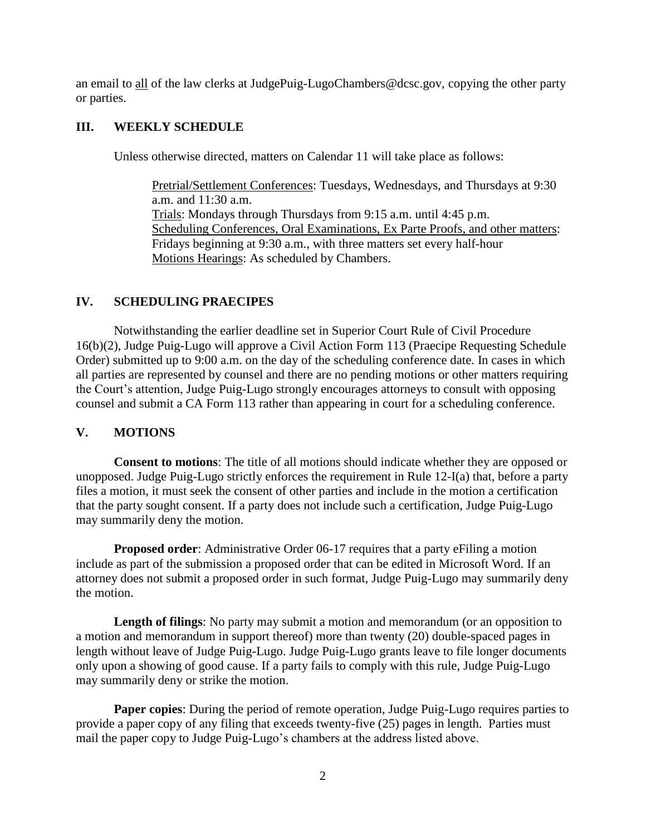an email to all of the law clerks at JudgePuig-LugoChambers@dcsc.gov, copying the other party or parties.

# **III. WEEKLY SCHEDULE**

Unless otherwise directed, matters on Calendar 11 will take place as follows:

Pretrial/Settlement Conferences: Tuesdays, Wednesdays, and Thursdays at 9:30 a.m. and 11:30 a.m. Trials: Mondays through Thursdays from 9:15 a.m. until 4:45 p.m. Scheduling Conferences, Oral Examinations, Ex Parte Proofs, and other matters: Fridays beginning at 9:30 a.m., with three matters set every half-hour Motions Hearings: As scheduled by Chambers.

# **IV. SCHEDULING PRAECIPES**

Notwithstanding the earlier deadline set in Superior Court Rule of Civil Procedure 16(b)(2), Judge Puig-Lugo will approve a Civil Action Form 113 (Praecipe Requesting Schedule Order) submitted up to 9:00 a.m. on the day of the scheduling conference date. In cases in which all parties are represented by counsel and there are no pending motions or other matters requiring the Court's attention, Judge Puig-Lugo strongly encourages attorneys to consult with opposing counsel and submit a CA Form 113 rather than appearing in court for a scheduling conference.

### **V. MOTIONS**

**Consent to motions**: The title of all motions should indicate whether they are opposed or unopposed. Judge Puig-Lugo strictly enforces the requirement in Rule 12-I(a) that, before a party files a motion, it must seek the consent of other parties and include in the motion a certification that the party sought consent. If a party does not include such a certification, Judge Puig-Lugo may summarily deny the motion.

**Proposed order:** Administrative Order 06-17 requires that a party eFiling a motion include as part of the submission a proposed order that can be edited in Microsoft Word. If an attorney does not submit a proposed order in such format, Judge Puig-Lugo may summarily deny the motion.

**Length of filings**: No party may submit a motion and memorandum (or an opposition to a motion and memorandum in support thereof) more than twenty (20) double-spaced pages in length without leave of Judge Puig-Lugo. Judge Puig-Lugo grants leave to file longer documents only upon a showing of good cause. If a party fails to comply with this rule, Judge Puig-Lugo may summarily deny or strike the motion.

**Paper copies**: During the period of remote operation, Judge Puig-Lugo requires parties to provide a paper copy of any filing that exceeds twenty-five (25) pages in length. Parties must mail the paper copy to Judge Puig-Lugo's chambers at the address listed above.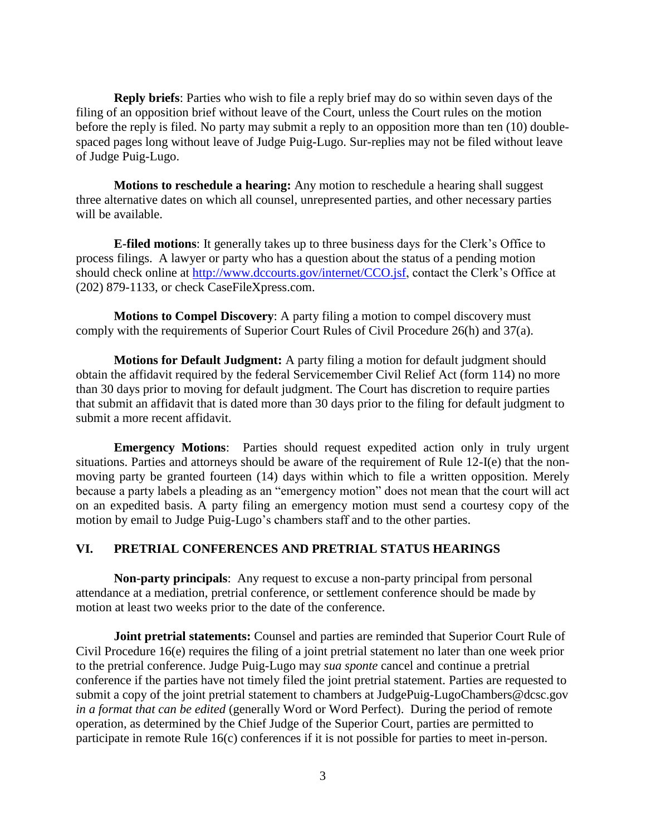**Reply briefs**: Parties who wish to file a reply brief may do so within seven days of the filing of an opposition brief without leave of the Court, unless the Court rules on the motion before the reply is filed. No party may submit a reply to an opposition more than ten (10) doublespaced pages long without leave of Judge Puig-Lugo. Sur-replies may not be filed without leave of Judge Puig-Lugo.

**Motions to reschedule a hearing:** Any motion to reschedule a hearing shall suggest three alternative dates on which all counsel, unrepresented parties, and other necessary parties will be available.

**E-filed motions**: It generally takes up to three business days for the Clerk's Office to process filings. A lawyer or party who has a question about the status of a pending motion should check online at [http://www.dccourts.gov/internet/CCO.jsf,](http://www.dccourts.gov/internet/CCO.jsf) contact the Clerk's Office at (202) 879-1133, or check CaseFileXpress.com.

**Motions to Compel Discovery**: A party filing a motion to compel discovery must comply with the requirements of Superior Court Rules of Civil Procedure 26(h) and 37(a).

**Motions for Default Judgment:** A party filing a motion for default judgment should obtain the affidavit required by the federal Servicemember Civil Relief Act (form 114) no more than 30 days prior to moving for default judgment. The Court has discretion to require parties that submit an affidavit that is dated more than 30 days prior to the filing for default judgment to submit a more recent affidavit.

**Emergency Motions**: Parties should request expedited action only in truly urgent situations. Parties and attorneys should be aware of the requirement of Rule 12-I(e) that the nonmoving party be granted fourteen (14) days within which to file a written opposition. Merely because a party labels a pleading as an "emergency motion" does not mean that the court will act on an expedited basis. A party filing an emergency motion must send a courtesy copy of the motion by email to Judge Puig-Lugo's chambers staff and to the other parties.

#### **VI. PRETRIAL CONFERENCES AND PRETRIAL STATUS HEARINGS**

**Non-party principals**: Any request to excuse a non-party principal from personal attendance at a mediation, pretrial conference, or settlement conference should be made by motion at least two weeks prior to the date of the conference.

**Joint pretrial statements:** Counsel and parties are reminded that Superior Court Rule of Civil Procedure 16(e) requires the filing of a joint pretrial statement no later than one week prior to the pretrial conference. Judge Puig-Lugo may *sua sponte* cancel and continue a pretrial conference if the parties have not timely filed the joint pretrial statement. Parties are requested to submit a copy of the joint pretrial statement to chambers at JudgePuig-LugoChambers@dcsc.gov *in a format that can be edited* (generally Word or Word Perfect). During the period of remote operation, as determined by the Chief Judge of the Superior Court, parties are permitted to participate in remote Rule 16(c) conferences if it is not possible for parties to meet in-person.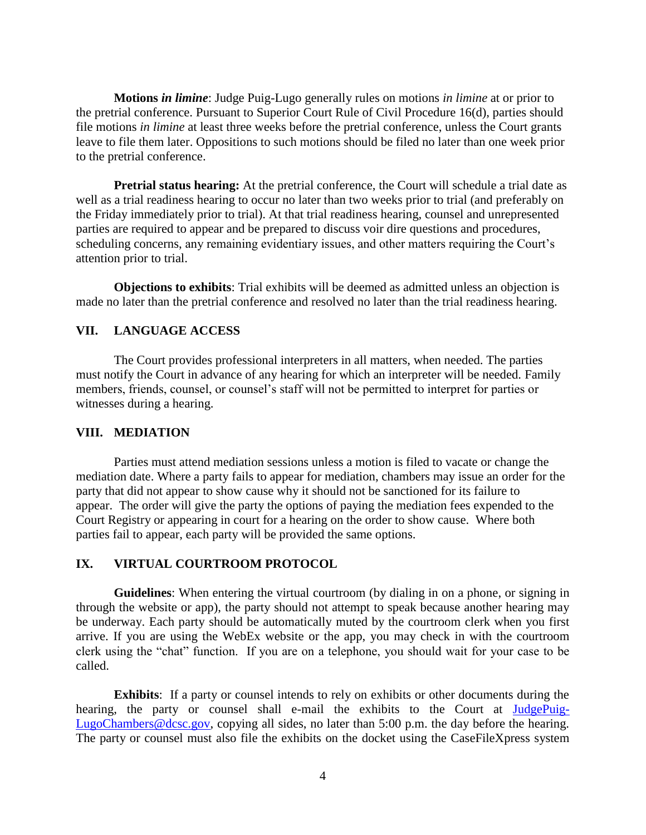**Motions** *in limine*: Judge Puig-Lugo generally rules on motions *in limine* at or prior to the pretrial conference. Pursuant to Superior Court Rule of Civil Procedure 16(d), parties should file motions *in limine* at least three weeks before the pretrial conference, unless the Court grants leave to file them later. Oppositions to such motions should be filed no later than one week prior to the pretrial conference.

**Pretrial status hearing:** At the pretrial conference, the Court will schedule a trial date as well as a trial readiness hearing to occur no later than two weeks prior to trial (and preferably on the Friday immediately prior to trial). At that trial readiness hearing, counsel and unrepresented parties are required to appear and be prepared to discuss voir dire questions and procedures, scheduling concerns, any remaining evidentiary issues, and other matters requiring the Court's attention prior to trial.

**Objections to exhibits**: Trial exhibits will be deemed as admitted unless an objection is made no later than the pretrial conference and resolved no later than the trial readiness hearing.

### **VII. LANGUAGE ACCESS**

The Court provides professional interpreters in all matters, when needed. The parties must notify the Court in advance of any hearing for which an interpreter will be needed. Family members, friends, counsel, or counsel's staff will not be permitted to interpret for parties or witnesses during a hearing.

#### **VIII. MEDIATION**

Parties must attend mediation sessions unless a motion is filed to vacate or change the mediation date. Where a party fails to appear for mediation, chambers may issue an order for the party that did not appear to show cause why it should not be sanctioned for its failure to appear. The order will give the party the options of paying the mediation fees expended to the Court Registry or appearing in court for a hearing on the order to show cause. Where both parties fail to appear, each party will be provided the same options.

### **IX. VIRTUAL COURTROOM PROTOCOL**

**Guidelines**: When entering the virtual courtroom (by dialing in on a phone, or signing in through the website or app), the party should not attempt to speak because another hearing may be underway. Each party should be automatically muted by the courtroom clerk when you first arrive. If you are using the WebEx website or the app, you may check in with the courtroom clerk using the "chat" function. If you are on a telephone, you should wait for your case to be called.

**Exhibits**: If a party or counsel intends to rely on exhibits or other documents during the hearing, the party or counsel shall e-mail the exhibits to the Court at [JudgePuig-](mailto:JudgePuig-LugoChambers@dcsc.gov)[LugoChambers@dcsc.gov,](mailto:JudgePuig-LugoChambers@dcsc.gov) copying all sides, no later than 5:00 p.m. the day before the hearing. The party or counsel must also file the exhibits on the docket using the CaseFileXpress system